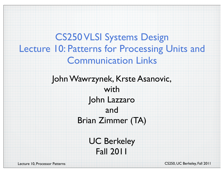CS250 VLSI Systems Design Lecture 10: Patterns for Processing Units and Communication Links

> John Wawrzynek, Krste Asanovic, with John Lazzaro and Brian Zimmer (TA)

> > UC Berkeley Fall 2011

Lecture 10, Processor Patterns **CS250, UC Berkeley, Fall 2011**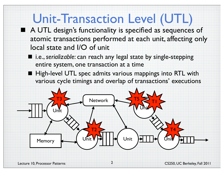### Unit-Transaction Level (UTL)

- A UTL design's functionality is specified as sequences of atomic transactions performed at each unit, affecting only local state and I/O of unit
	- i.e., *serializable*: can reach any legal state by single-stepping entire system, one transaction at a time
	- High-level UTL spec admits various mappings into RTL with various cycle timings and overlap of transactions' executions

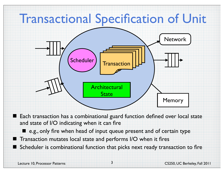## Transactional Specification of Unit



■ Each transaction has a combinational guard function defined over local state and state of I/O indicating when it can fire

■ e.g., only fire when head of input queue present and of certain type ■ Transaction mutates local state and performs I/O when it fires Scheduler is combinational function that picks next ready transaction to fire

3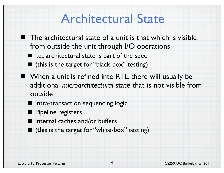### Architectural State

- **The architectural state of a unit is that which is visible** from outside the unit through I/O operations
	- $\blacksquare$  i.e., architectural state is part of the spec
	- (this is the target for "black-box" testing)
- When a unit is refined into RTL, there will usually be additional *microarchitectural* state that is not visible from outside

4

- **II** Intra-transaction sequencing logic
- Pipeline registers ▆
- Internal caches and/or buffers
- (this is the target for "white-box" testing)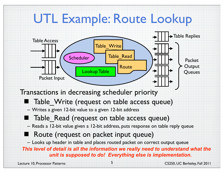## UTL Example: Route Lookup



### Transactions in decreasing scheduler priority

- Table\_Write (request on table access queue)
- Writes a given 12-bit value to a given 12-bit address
- Table\_Read (request on table access queue)
- Reads a 12-bit value given a 12-bit address, puts response on table reply queue

### Route (request on packet input queue)

– Looks up header in table and places routed packet on correct output queue

*This level of detail is all the information we really need to understand what the unit is supposed to do! Everything else is implementation.*

5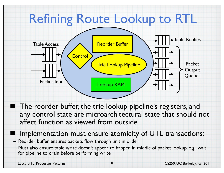### Refining Route Lookup to RTL Packet Input Packet **Output Oueues** Lookup RAM Table Access  $\left\{\wedge\right\}$  Reorder Buffer  $\searrow$   $\downarrow$   $\downarrow$   $\downarrow$  Table Replies Trie Lookup Pipeline **Control**

■ The reorder buffer, the trie lookup pipeline's registers, and any control state are microarchitectural state that should not affect function as viewed from outside

### Implementation must ensure atomicity of UTL transactions:

- Reorder buffer ensures packets flow through unit in order
- Must also ensure table write doesn't appear to happen in middle of packet lookup, e.g., wait for pipeline to drain before performing write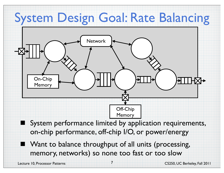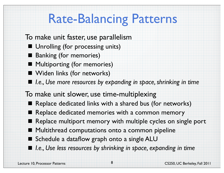## Rate-Balancing Patterns

- To make unit faster, use parallelism
	- **Unrolling (for processing units)**
	- **Banking (for memories)**
	- Multiporting (for memories)
	- **No. 3** Widen links (for networks)
	- I.e., Use more resources by expanding in space, shrinking in time
- To make unit slower, use time-multiplexing
	- Replace dedicated links with a shared bus (for networks)
	- Replace dedicated memories with a common memory
	- Replace multiport memory with multiple cycles on single port
	- Multithread computations onto a common pipeline
	- Schedule a dataflow graph onto a single ALU
	- I.e., Use less resources by shrinking in space, expanding in time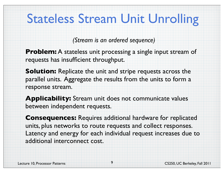## Stateless Stream Unit Unrolling

*(Stream is an ordered sequence)*

**Problem:** A stateless unit processing a single input stream of requests has insufficient throughput.

**Solution:** Replicate the unit and stripe requests across the parallel units. Aggregate the results from the units to form a response stream.

**Applicability:** Stream unit does not communicate values between independent requests.

**Consequences:** Requires additional hardware for replicated units, plus networks to route requests and collect responses. Latency and energy for each individual request increases due to additional interconnect cost.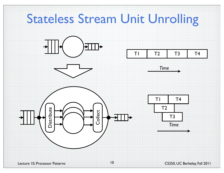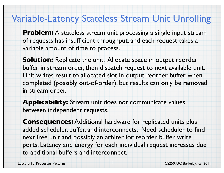### Variable-Latency Stateless Stream Unit Unrolling

**Problem:** A stateless stream unit processing a single input stream of requests has insufficient throughput, and each request takes a variable amount of time to process.

**Solution:** Replicate the unit. Allocate space in output reorder buffer in stream order, then dispatch request to next available unit. Unit writes result to allocated slot in output reorder buffer when completed (possibly out-of-order), but results can only be removed in stream order.

**Applicability:** Stream unit does not communicate values between independent requests.

**Consequences:** Additional hardware for replicated units plus added scheduler, buffer, and interconnects. Need scheduler to find next free unit and possibly an arbiter for reorder buffer write ports. Latency and energy for each individual request increases due to additional buffers and interconnect.

11

Lecture 10, Processor Patterns CS250, UC Berkeley, Fall 2011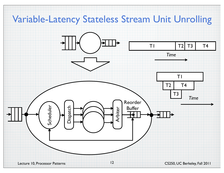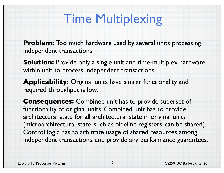## Time Multiplexing

**Problem:** Too much hardware used by several units processing independent transactions.

**Solution:** Provide only a single unit and time-multiplex hardware within unit to process independent transactions.

**Applicability:** Original units have similar functionality and required throughput is low.

**Consequences:** Combined unit has to provide superset of functionality of original units. Combined unit has to provide architectural state for all architectural state in original units (microarchitectural state, such as pipeline registers, can be shared). Control logic has to arbitrate usage of shared resources among independent transactions, and provide any performance guarantees.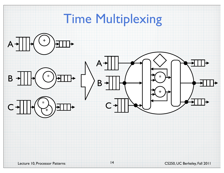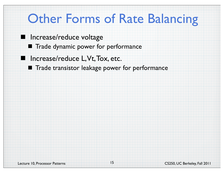### **Other Forms of Rate Balancing**

- **Increase/reduce voltage** 
	- **The Trade dynamic power for performance**
- **I** Increase/reduce L, Vt, Tox, etc.
	- **The Trade transistor leakage power for performance**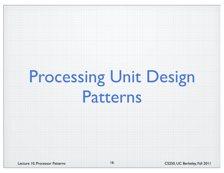# Processing Unit Design Patterns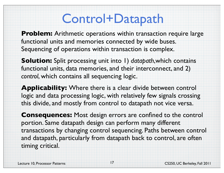### Control+Datapath

**Problem:** Arithmetic operations within transaction require large functional units and memories connected by wide buses. Sequencing of operations within transaction is complex.

**Solution:** Split processing unit into 1) *datapath*,which contains functional units, data memories, and their interconnect, and 2) *control*, which contains all sequencing logic.

**Applicability:** Where there is a clear divide between control logic and data processing logic, with relatively few signals crossing this divide, and mostly from control to datapath not vice versa.

**Consequences:** Most design errors are confined to the control portion. Same datapath design can perform many different transactions by changing control sequencing. Paths between control and datapath, particularly from datapath back to control, are often timing critical.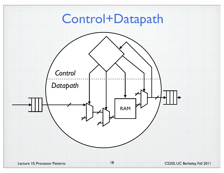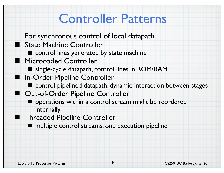### Controller Patterns

- For synchronous control of local datapath
- State Machine Controller
	- $\blacksquare$  control lines generated by state machine
- **Microcoded Controller** 
	- single-cycle datapath, control lines in ROM/RAM
- In-Order Pipeline Controller
	- control pipelined datapath, dynamic interaction between stages
- Out-of-Order Pipeline Controller
	- $\blacksquare$  operations within a control stream might be reordered internally
- **Threaded Pipeline Controller** 
	- multiple control streams, one execution pipeline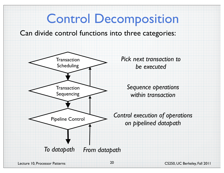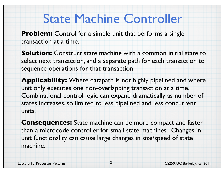### State Machine Controller

**Problem:** Control for a simple unit that performs a single transaction at a time.

**Solution:** Construct state machine with a common initial state to select next transaction, and a separate path for each transaction to sequence operations for that transaction.

**Applicability:** Where datapath is not highly pipelined and where unit only executes one non-overlapping transaction at a time. Combinational control logic can expand dramatically as number of states increases, so limited to less pipelined and less concurrent units.

**Consequences:** State machine can be more compact and faster than a microcode controller for small state machines. Changes in unit functionality can cause large changes in size/speed of state machine.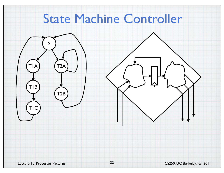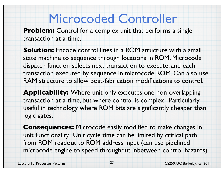## Microcoded Controller

**Problem:** Control for a complex unit that performs a single transaction at a time.

**Solution:** Encode control lines in a ROM structure with a small state machine to sequence through locations in ROM. Microcode dispatch function selects next transaction to execute, and each transaction executed by sequence in microcode ROM. Can also use RAM structure to allow post-fabrication modifications to control.

**Applicability:** Where unit only executes one non-overlapping transaction at a time, but where control is complex. Particularly useful in technology where ROM bits are significantly cheaper than logic gates.

**Consequences:** Microcode easily modified to make changes in unit functionality. Unit cycle time can be limited by critical path from ROM readout to ROM address input (can use pipelined microcode engine to speed throughput inbetween control hazards).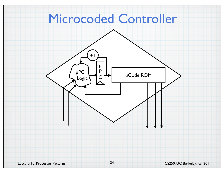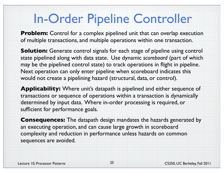### In-Order Pipeline Controller

**Problem:** Control for a complex pipelined unit that can overlap execution of multiple transactions, and multiple operations within one transaction.

**Solution:** Generate control signals for each stage of pipeline using control state pipelined along with data state. Use dynamic *scoreboard* (part of which may be the pipelined control state) to track operations in flight in pipeline. Next operation can only enter pipeline when scoreboard indicates this would not create a pipelining hazard (structural, data, or control).

**Applicability:** Where unit's datapath is pipelined and either sequence of transactions or sequence of operations within a transaction is dynamically determined by input data. Where in-order processing is required, or sufficient for performance goals.

**Consequences:** The datapath design mandates the hazards generated by an executing operation, and can cause large growth in scoreboard complexity and reduction in performance unless hazards on common sequences are avoided.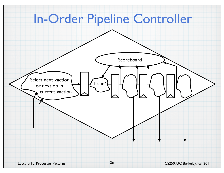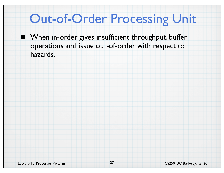### Out-of-Order Processing Unit

**Notal Example 11 November 11 Feamoral Procent Example 11 Feamora** Putter operations and issue out-of-order with respect to hazards.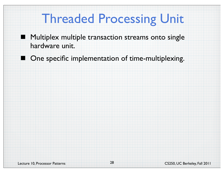### Threaded Processing Unit

- **Multiplex multiple transaction streams onto single** hardware unit.
	- One specific implementation of time-multiplexing.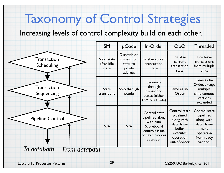## Taxonomy of Control Strategies

#### Increasing levels of control complexity build on each other.

|                                  | SM                                       | µCode                                                      | In-Order                                                                                                        | O <sub>0</sub> O                                                                                           | <b>Threaded</b>                                                                                        |
|----------------------------------|------------------------------------------|------------------------------------------------------------|-----------------------------------------------------------------------------------------------------------------|------------------------------------------------------------------------------------------------------------|--------------------------------------------------------------------------------------------------------|
| Transaction<br>Scheduling        | <b>Next state</b><br>after idle<br>state | Dispatch on<br>transaction<br>state to<br>ucode<br>address | Initialize current<br>transaction<br>state                                                                      | <b>Initialize</b><br>current<br>transaction<br>state                                                       | Interleave<br>transactions<br>from multiple<br>units                                                   |
| <b>Transaction</b><br>Sequencing | <b>State</b><br>transitions              | Step through<br>µcode                                      | Sequence<br>through<br>transaction<br>states (either<br>FSM or uCode)                                           | same as In-<br>Order                                                                                       | Same as In-<br>Order, except<br>multiple<br>simultaneous<br>xactions<br>expanded                       |
| <b>Pipeline Control</b>          | N/A                                      | N/A                                                        | Control state<br>pipelined along<br>with data.<br>Scoreboard<br>controls issue<br>of next in-order<br>operation | Control state<br>pipelined<br>along with<br>data. Issue<br>buffer<br>executes<br>operation<br>out-of-order | Control state<br>pipelined<br>along with<br>data. Issue<br>next<br>operation<br>from ready<br>xaction. |
| To datapath<br>From datapath     |                                          |                                                            |                                                                                                                 |                                                                                                            |                                                                                                        |